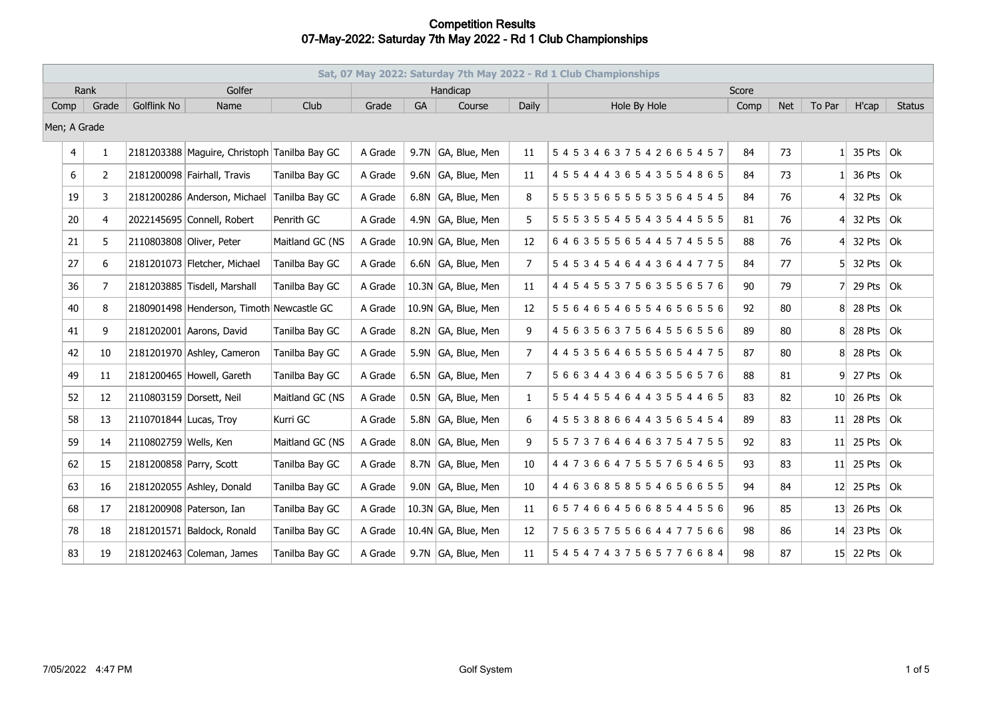|              | Sat, 07 May 2022: Saturday 7th May 2022 - Rd 1 Club Championships |                |                         |                                              |                 |         |    |                     |                |                                   |      |            |                |                      |                   |
|--------------|-------------------------------------------------------------------|----------------|-------------------------|----------------------------------------------|-----------------|---------|----|---------------------|----------------|-----------------------------------|------|------------|----------------|----------------------|-------------------|
|              | Rank                                                              |                |                         | Golfer                                       |                 |         |    | Handicap            |                | Score                             |      |            |                |                      |                   |
| Comp         |                                                                   | Grade          | <b>Golflink No</b>      | Name                                         | Club            | Grade   | GA | Course              | Daily          | Hole By Hole                      | Comp | <b>Net</b> | To Par         | H'cap                | <b>Status</b>     |
| Men; A Grade |                                                                   |                |                         |                                              |                 |         |    |                     |                |                                   |      |            |                |                      |                   |
|              | $\overline{4}$                                                    | $\mathbf{1}$   |                         | 2181203388 Maguire, Christoph Tanilba Bay GC |                 | A Grade |    | 9.7N GA, Blue, Men  | 11             | 54534637542665457                 | 84   | 73         | 1 <sup>1</sup> | 35 Pts               | 0k                |
|              | 6                                                                 | $\overline{2}$ |                         | 2181200098 Fairhall, Travis                  | Tanilba Bay GC  | A Grade |    | 9.6N GA, Blue, Men  | 11             | 4 5 5 4 4 4 3 6 5 4 3 5 5 4 8 6 5 | 84   | 73         |                | 36 Pts               | Ok                |
|              | 19                                                                | 3              |                         | 2181200286 Anderson, Michael                 | Tanilba Bay GC  | A Grade |    | 6.8N GA, Blue, Men  | 8              | 5 5 5 3 5 6 5 5 5 5 3 5 6 4 5 4 5 | 84   | 76         | 41             | 32 Pts $ $ Ok        |                   |
|              | 20                                                                | 4              |                         | 2022145695 Connell, Robert                   | Penrith GC      | A Grade |    | 4.9N GA, Blue, Men  | 5.             | 5 5 5 3 5 5 4 5 5 4 3 5 4 4 5 5 5 | 81   | 76         | 41             | 32 Pts               | Ok                |
|              | 21                                                                | 5              |                         | 2110803808 Oliver, Peter                     | Maitland GC (NS | A Grade |    | 10.9N GA, Blue, Men | 12             | 64635556544574555                 | 88   | 76         | 41             | 32 Pts               | $ _{\mathsf{Ok}}$ |
|              | 27                                                                | 6              |                         | 2181201073 Fletcher, Michael                 | Tanilba Bay GC  | A Grade |    | 6.6N GA, Blue, Men  | $\overline{7}$ | 54534546443644775                 | 84   | 77         | 51.            | 32 Pts               | 0k                |
|              | 36                                                                | 7              |                         | 2181203885 Tisdell, Marshall                 | Tanilba Bay GC  | A Grade |    | 10.3N GA, Blue, Men | 11             | 4 4 5 4 5 5 3 7 5 6 3 5 5 6 5 7 6 | 90   | 79         | 71             | 29 Pts               | Ok                |
|              | 40                                                                | 8              |                         | 2180901498 Henderson, Timoth Newcastle GC    |                 | A Grade |    | 10.9N GA, Blue, Men | 12             | 55646546554656556                 | 92   | 80         |                | 8 28 Pts             | $ $ Ok            |
|              | 41                                                                | 9              |                         | 2181202001 Aarons, David                     | Tanilba Bay GC  | A Grade |    | 8.2N GA, Blue, Men  | 9              | 45635637564556556                 | 89   | 80         |                | 8 28 Pts             | Ok                |
|              | 42                                                                | 10             |                         | 2181201970 Ashley, Cameron                   | Tanilba Bay GC  | A Grade |    | 5.9N GA, Blue, Men  | $\overline{7}$ | 4 4 5 3 5 6 4 6 5 5 5 6 5 4 4 7 5 | 87   | 80         |                | 8 28 Pts             | 0k                |
|              | 49                                                                | 11             |                         | 2181200465 Howell, Gareth                    | Tanilba Bay GC  | A Grade |    | 6.5N GA, Blue, Men  | $\overline{7}$ | 56634436463556576                 | 88   | 81         |                | $9$ 27 Pts           | $ $ Ok            |
|              | 52                                                                | 12             |                         | 2110803159 Dorsett, Neil                     | Maitland GC (NS | A Grade |    | 0.5N GA, Blue, Men  | $\mathbf{1}$   | 55445546443554465                 | 83   | 82         |                | $10\vert 26$ Pts     | $ _{\mathsf{Ok}}$ |
|              | 58                                                                | 13             | 2110701844 Lucas, Troy  |                                              | Kurri GC        | A Grade |    | 5.8N GA, Blue, Men  | 6              | 45538866443565454                 | 89   | 83         |                | $11$ 28 Pts          | Ok                |
|              | 59                                                                | 14             | 2110802759 Wells, Ken   |                                              | Maitland GC (NS | A Grade |    | 8.0N GA, Blue, Men  | 9              | 55737646463754755                 | 92   | 83         |                | $11$ 25 Pts          | 0k                |
|              | 62                                                                | 15             | 2181200858 Parry, Scott |                                              | Tanilba Bay GC  | A Grade |    | 8.7N GA, Blue, Men  | 10             | 44736647555765465                 | 93   | 83         |                | $11$ 25 Pts          | $ _{\mathsf{Ok}}$ |
|              | 63                                                                | 16             |                         | 2181202055 Ashley, Donald                    | Tanilba Bay GC  | A Grade |    | 9.0N GA, Blue, Men  | 10             | 44636858554656655                 | 94   | 84         |                | $12$ 25 Pts          | Ok                |
|              | 68                                                                | 17             |                         | 2181200908 Paterson, Ian                     | Tanilba Bay GC  | A Grade |    | 10.3N GA, Blue, Men | 11             | 65746645668544556                 | 96   | 85         |                | $13$ 26 Pts          | 0k                |
|              | 78                                                                | 18             |                         | 2181201571 Baldock, Ronald                   | Tanilba Bay GC  | A Grade |    | 10.4N GA, Blue, Men | 12             | 75635755664477566                 | 98   | 86         |                | $14$ 23 Pts          | 0k                |
|              | 83                                                                | 19             |                         | 2181202463 Coleman, James                    | Tanilba Bay GC  | A Grade |    | 9.7N GA, Blue, Men  | 11             | 54547437565776684                 | 98   | 87         |                | 15 22 Pts $\vert$ Ok |                   |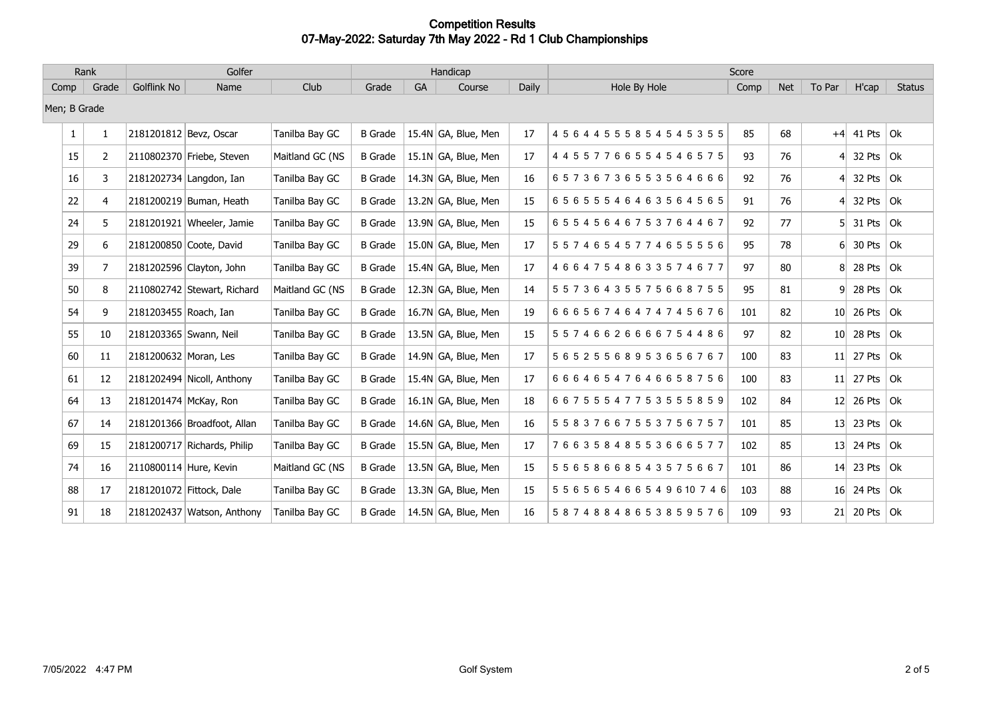| Rank                                         |              |    |                        | Golfer                      |                 |                |              | Handicap                          |            |                                    | Score |               |     |                   |        |
|----------------------------------------------|--------------|----|------------------------|-----------------------------|-----------------|----------------|--------------|-----------------------------------|------------|------------------------------------|-------|---------------|-----|-------------------|--------|
| Golflink No<br>Club<br>Grade<br>Comp<br>Name |              |    | Grade                  | GA                          | Course          | Daily          | Hole By Hole | Comp                              | <b>Net</b> | To Par                             | H'cap | <b>Status</b> |     |                   |        |
|                                              | Men; B Grade |    |                        |                             |                 |                |              |                                   |            |                                    |       |               |     |                   |        |
|                                              | $\mathbf{1}$ | 1  | 2181201812 Bevz, Oscar |                             | Tanilba Bay GC  | <b>B</b> Grade |              | 15.4N GA, Blue, Men               | 17         | 4 5 6 4 4 5 5 5 8 5 4 5 4 5 3 5 5  | 85    | 68            |     | $+4$ 41 Pts Ok    |        |
|                                              | 15           | 2  |                        | 2110802370 Friebe, Steven   | Maitland GC (NS | <b>B</b> Grade |              | 15.1N GA, Blue, Men               | 17         | 4 4 5 5 7 7 6 6 5 5 4 5 4 6 5 7 5  | 93    | 76            | 41  | 32 Pts            | Ok     |
|                                              | 16           | 3  |                        | 2181202734 Langdon, Ian     | Tanilba Bay GC  | <b>B</b> Grade |              | 14.3N GA, Blue, Men               | 16         | 65736736553564666                  | 92    | 76            | 41  | 32 Pts            | 0k     |
|                                              | 22           | 4  |                        | 2181200219 Buman, Heath     | Tanilba Bay GC  | <b>B</b> Grade |              | 13.2N GA, Blue, Men               | 15         | 65655546463564565                  | 91    | 76            | 4   | 32 Pts            | Ok     |
|                                              | 24           | 5  |                        | 2181201921 Wheeler, Jamie   | Tanilba Bay GC  | <b>B</b> Grade |              | 13.9N GA, Blue, Men               | 15         | 65545646753764467                  | 92    | 77            | 51. | 31 Pts            | Ok     |
|                                              | 29           | 6  |                        | 2181200850 Coote, David     | Tanilba Bay GC  | <b>B</b> Grade |              | 15.0N GA, Blue, Men               | 17         | 55746545774655556                  | 95    | 78            | 61  | 30 Pts $\vert$ Ok |        |
|                                              | 39           | 7  |                        | 2181202596 Clayton, John    | Tanilba Bay GC  | <b>B</b> Grade |              | 15.4N GA, Blue, Men               | 17         | 46647548633574677                  | 97    | 80            | 81. | 28 Pts            | 0k     |
|                                              | 50           | 8  |                        | 2110802742 Stewart, Richard | Maitland GC (NS | <b>B</b> Grade |              | 12.3N GA, Blue, Men               | 14         | 55736435575668755                  | 95    | 81            | 91  | 28 Pts            | 0k     |
|                                              | 54           | 9  | 2181203455 Roach, Ian  |                             | Tanilba Bay GC  | <b>B</b> Grade |              | 16.7N GA, Blue, Men               | 19         | 66656746474745676                  | 101   | 82            |     | $10$ 26 Pts       | Ok     |
|                                              | 55           | 10 | 2181203365 Swann, Neil |                             | Tanilba Bay GC  | <b>B</b> Grade |              | 13.5N GA, Blue, Men               | 15         | 55746626666754486                  | 97    | 82            |     | $10$ 28 Pts       | 0k     |
|                                              | 60           | 11 | 2181200632 Moran, Les  |                             | Tanilba Bay GC  | <b>B</b> Grade |              | 14.9N $ GA$ , Blue, Men           | 17         | 56525568953656767                  | 100   | 83            |     | $11$ 27 Pts       | Ok     |
|                                              | 61           | 12 |                        | 2181202494 Nicoll, Anthony  | Tanilba Bay GC  | <b>B</b> Grade |              | 15.4N GA, Blue, Men               | 17         | 66646547646658756                  | 100   | 83            |     | $11$ 27 Pts       | 0k     |
|                                              | 64           | 13 | 2181201474 McKay, Ron  |                             | Tanilba Bay GC  | <b>B</b> Grade |              | 16.1N $\overline{GA}$ , Blue, Men | 18         | 66755547753555859                  | 102   | 84            |     | $12$ 26 Pts       | 0k     |
|                                              | 67           | 14 |                        | 2181201366 Broadfoot, Allan | Tanilba Bay GC  | <b>B</b> Grade |              | 14.6N GA, Blue, Men               | 16         | 55837667553756757                  | 101   | 85            |     | $13$ 23 Pts       | 0k     |
|                                              | 69           | 15 |                        | 2181200717 Richards, Philip | Tanilba Bay GC  | <b>B</b> Grade |              | 15.5N GA, Blue, Men               | 17         | 76635848553666577                  | 102   | 85            |     | $13$ 24 Pts       | 0k     |
|                                              | 74           | 16 | 2110800114 Hure, Kevin |                             | Maitland GC (NS | <b>B</b> Grade |              | 13.5N GA, Blue, Men               | 15         | 55658668543575667                  | 101   | 86            |     | $14$ 23 Pts       | $ $ Ok |
|                                              | 88           | 17 |                        | 2181201072 Fittock, Dale    | Tanilba Bay GC  | <b>B</b> Grade |              | 13.3N GA, Blue, Men               | 15         | 5 5 6 5 6 5 4 6 6 5 4 9 6 10 7 4 6 | 103   | 88            |     | $16$ 24 Pts       | 0k     |
|                                              | 91           | 18 |                        | 2181202437 Watson, Anthony  | Tanilba Bay GC  | <b>B</b> Grade |              | 14.5N GA, Blue, Men               | 16         | 58748848653859576                  | 109   | 93            |     | $21$ 20 Pts Ok    |        |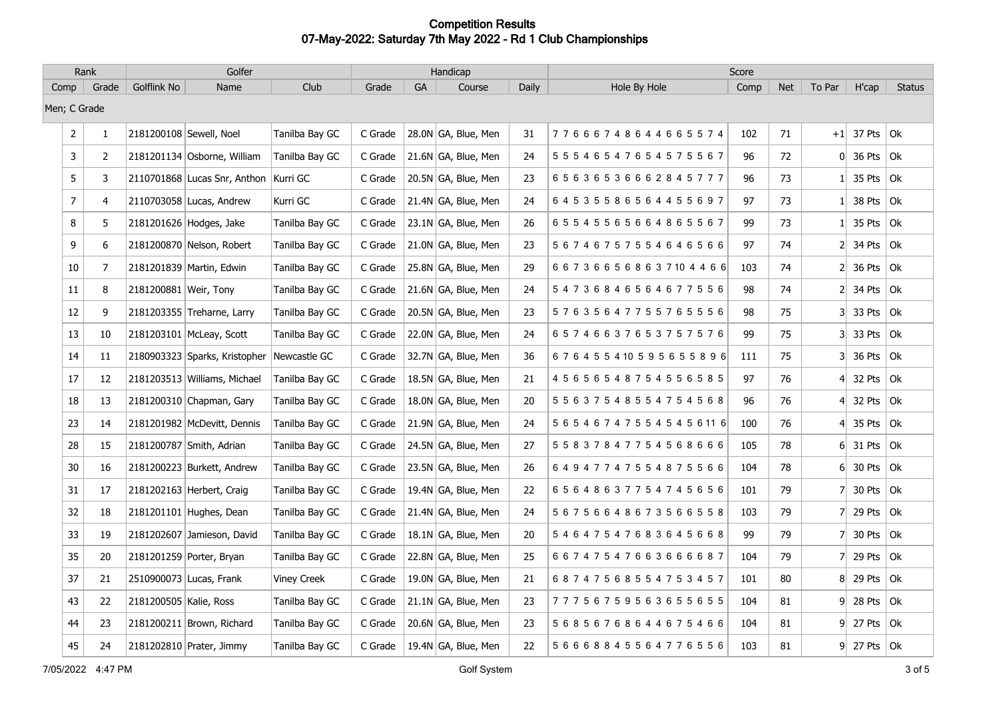| Rank         |                |                | Golfer                  |                                            |                    |         | Handicap |                                   |       | Score                              |      |            |                |               |               |
|--------------|----------------|----------------|-------------------------|--------------------------------------------|--------------------|---------|----------|-----------------------------------|-------|------------------------------------|------|------------|----------------|---------------|---------------|
| Comp         |                | Grade          | Golflink No             | Name                                       | Club               | Grade   | GA       | Course                            | Daily | Hole By Hole                       | Comp | <b>Net</b> | To Par         | H'cap         | <b>Status</b> |
| Men; C Grade |                |                |                         |                                            |                    |         |          |                                   |       |                                    |      |            |                |               |               |
|              | $\overline{2}$ | $\mathbf{1}$   | 2181200108 Sewell, Noel |                                            | Tanilba Bay GC     | C Grade |          | 28.0N GA, Blue, Men               | 31    | 77666748644665574                  | 102  | 71         |                | $+1$ 37 Pts   | $ $ Ok        |
|              | 3              | $\overline{2}$ |                         | 2181201134 Osborne, William                | Tanilba Bay GC     | C Grade |          | 21.6N GA, Blue, Men               | 24    | 5 5 5 4 6 5 4 7 6 5 4 5 7 5 5 6 7  | 96   | 72         |                | $0$ 36 Pts    | l Ok          |
|              | $\sqrt{5}$     | 3              |                         | 2110701868 Lucas Snr, Anthon Kurri GC      |                    | C Grade |          | 20.5N GA, Blue, Men               | 23    | 65636536662845777                  | 96   | 73         |                | 35 Pts        | $ $ Ok        |
|              | $\overline{7}$ | 4              |                         | 2110703058 Lucas, Andrew                   | Kurri GC           | C Grade |          | 21.4N GA, Blue, Men               | 24    | 64535586564455697                  | 97   | 73         |                | 38 Pts        | $ $ Ok        |
|              | 8              | 5              |                         | 2181201626 Hodges, Jake                    | Tanilba Bay GC     | C Grade |          | 23.1N GA, Blue, Men               | 26    | 65545565664865567                  | 99   | 73         |                | 35 Pts        | $ $ Ok        |
|              | 9              | 6              |                         | 2181200870 Nelson, Robert                  | Tanilba Bay GC     | C Grade |          | 21.0N GA, Blue, Men               | 23    | 56746757554646566                  | 97   | 74         | 2              | 34 Pts        | $ $ Ok        |
|              | 10             | 7              |                         | 2181201839 Martin, Edwin                   | Tanilba Bay GC     | C Grade |          | 25.8N GA, Blue, Men               | 29    | 6 6 7 3 6 6 5 6 8 6 3 7 10 4 4 6 6 | 103  | 74         | 2              | 36 Pts        | $ $ Ok        |
|              | 11             | 8              | 2181200881 Weir, Tony   |                                            | Tanilba Bay GC     | C Grade |          | 21.6N GA, Blue, Men               | 24    | 54736846564677556                  | 98   | 74         | 21             | 34 Pts        | $ $ Ok        |
|              | 12             | 9              |                         | 2181203355 Treharne, Larry                 | Tanilba Bay GC     | C Grade |          | 20.5N GA, Blue, Men               | 23    | 57635647755765556                  | 98   | 75         | 31             | 33 Pts        | $ $ Ok        |
|              | 13             | 10             |                         | 2181203101 McLeay, Scott                   | Tanilba Bay GC     | C Grade |          | 22.0N GA, Blue, Men               | 24    | 65746637653757576                  | 99   | 75         | 31             | 33 Pts        | $ $ Ok        |
|              | 14             | 11             |                         | 2180903323 Sparks, Kristopher Newcastle GC |                    | C Grade |          | 32.7N GA, Blue, Men               | 36    | 676455410595655896                 | 111  | 75         | 31             | 36 Pts        | $ $ Ok        |
|              | 17             | 12             |                         | 2181203513 Williams, Michael               | Tanilba Bay GC     | C Grade |          | 18.5N GA, Blue, Men               | 21    | 4 5 6 5 6 5 4 8 7 5 4 5 5 6 5 8 5  | 97   | 76         | 4 <sup>1</sup> | 32 Pts        | $ $ Ok        |
|              | $18\,$         | 13             |                         | 2181200310 Chapman, Gary                   | Tanilba Bay GC     | C Grade |          | 18.0N GA, Blue, Men               | 20    | 5 5 6 3 7 5 4 8 5 5 4 7 5 4 5 6 8  | 96   | 76         |                | 32 Pts        | $ $ Ok        |
|              | 23             | 14             |                         | 2181201982 McDevitt, Dennis                | Tanilba Bay GC     | C Grade |          | 21.9N GA, Blue, Men               | 24    | 5 6 5 4 6 7 4 7 5 5 4 5 4 5 6 11 6 | 100  | 76         | 41             | 35 Pts        | $ $ Ok        |
|              | 28             | 15             |                         | 2181200787 Smith, Adrian                   | Tanilba Bay GC     | C Grade |          | 24.5N GA, Blue, Men               | 27    | 5 5 8 3 7 8 4 7 7 5 4 5 6 8 6 6 6  | 105  | 78         |                | $6$ 31 Pts    | $ $ Ok        |
|              | 30             | 16             |                         | 2181200223 Burkett, Andrew                 | Tanilba Bay GC     | C Grade |          | 23.5N GA, Blue, Men               | 26    | 64947747554875566                  | 104  | 78         | 6              | 30 Pts        | $ $ Ok        |
|              | 31             | 17             |                         | 2181202163 Herbert, Craig                  | Tanilba Bay GC     | C Grade |          | 19.4N GA, Blue, Men               | 22    | 65648637754745656                  | 101  | 79         | 7              | 30 Pts        | $ $ Ok        |
|              | 32             | 18             |                         | 2181201101 Hughes, Dean                    | Tanilba Bay GC     | C Grade |          | 21.4N GA, Blue, Men               | 24    | 56756648673566558                  | 103  | 79         | 7              | 29 Pts        | $ $ Ok        |
|              | 33             | 19             |                         | 2181202607 Jamieson, David                 | Tanilba Bay GC     | C Grade |          | $18.1N$ GA, Blue, Men             | 20    | 54647547683645668                  | 99   | 79         | 71             | 30 Pts        | Ok            |
|              | 35             | 20             |                         | 2181201259 Porter, Bryan                   | Tanilba Bay GC     | C Grade |          | 22.8N GA, Blue, Men               | 25    | 66747547663666687                  | 104  | 79         | 71             | 29 Pts        | $ $ Ok        |
|              | 37             | 21             |                         | 2510900073 Lucas, Frank                    | <b>Viney Creek</b> | C Grade |          | 19.0N GA, Blue, Men               | 21    | 68747568554753457                  | 101  | 80         |                | 8 29 Pts      | Ok            |
|              | 43             | 22             | 2181200505 Kalie, Ross  |                                            | Tanilba Bay GC     | C Grade |          | $21.1N$ GA, Blue, Men             | 23    | 77756759563655655                  | 104  | 81         | 9              | 28 Pts        | $ $ Ok        |
|              | 44             | 23             |                         | 2181200211 Brown, Richard                  | Tanilba Bay GC     | C Grade |          | 20.6N GA, Blue, Men               | 23    | 56856768644675466                  | 104  | 81         | 91             | 27 Pts        | $ $ Ok        |
|              | 45             | 24             |                         | 2181202810 Prater, Jimmy                   | Tanilba Bay GC     | C Grade |          | 19.4N $\overline{GA}$ , Blue, Men | 22    | 5 6 6 6 8 8 4 5 5 6 4 7 7 6 5 5 6  | 103  | 81         |                | $9$ 27 Pts Ok |               |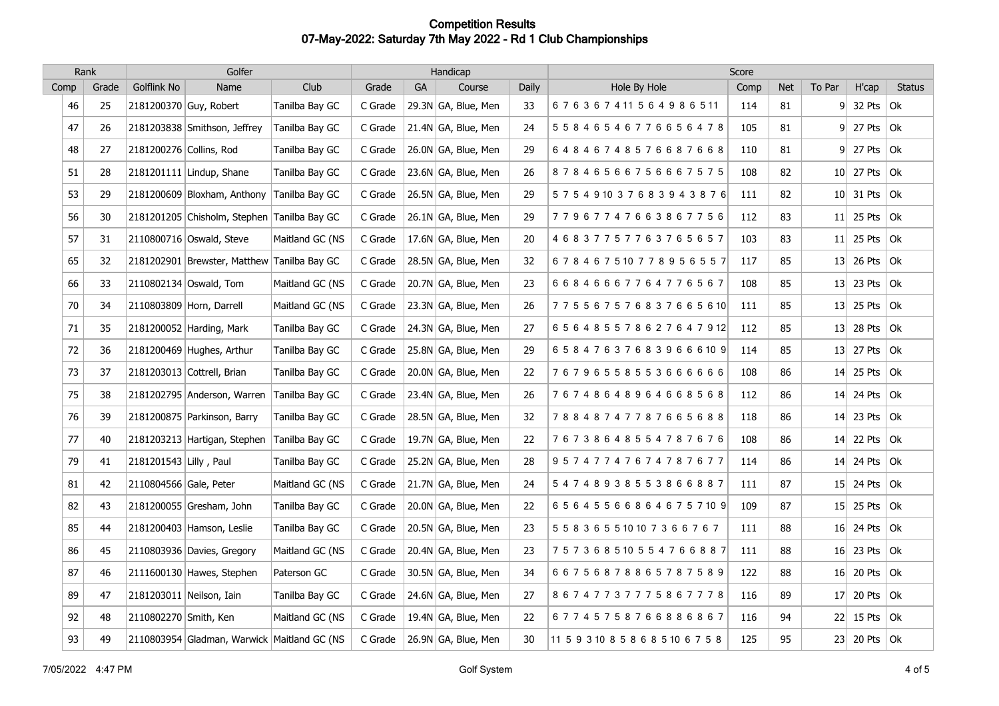| Rank |       |                         | Golfer                                      |                 |         |           | Handicap            |       |                                    | Score |            |        |                  |               |
|------|-------|-------------------------|---------------------------------------------|-----------------|---------|-----------|---------------------|-------|------------------------------------|-------|------------|--------|------------------|---------------|
| Comp | Grade | Golflink No             | Name                                        | Club            | Grade   | <b>GA</b> | Course              | Daily | Hole By Hole                       | Comp  | <b>Net</b> | To Par | H'cap            | <b>Status</b> |
| 46   | 25    | 2181200370 Guy, Robert  |                                             | Tanilba Bay GC  | C Grade |           | 29.3N GA, Blue, Men | 33    | 676367411564986511                 | 114   | 81         | 9      | 32 Pts $ $ Ok    |               |
| 47   | 26    |                         | 2181203838 Smithson, Jeffrey                | Tanilba Bay GC  | C Grade |           | 21.4N GA, Blue, Men | 24    | 5 5 8 4 6 5 4 6 7 7 6 6 5 6 4 7 8  | 105   | 81         |        | $9$ 27 Pts Ok    |               |
| 48   | 27    | 2181200276 Collins, Rod |                                             | Tanilba Bay GC  | C Grade |           | 26.0N GA, Blue, Men | 29    | 64846748576687668                  | 110   | 81         |        | $9$ 27 Pts Ok    |               |
| 51   | 28    |                         | 2181201111 Lindup, Shane                    | Tanilba Bay GC  | C Grade |           | 23.6N GA, Blue, Men | 26    | 87846566756667575                  | 108   | 82         |        | $10$ 27 Pts      | $ $ Ok        |
| 53   | 29    |                         | 2181200609 Bloxham, Anthony                 | Tanilba Bay GC  | C Grade |           | 26.5N GA, Blue, Men | 29    | 575491037683943876                 | 111   | 82         |        | $10$ 31 Pts      | Ok            |
| 56   | 30    |                         | 2181201205 Chisholm, Stephen Tanilba Bay GC |                 | C Grade |           | 26.1N GA, Blue, Men | 29    | 77967747663867756                  | 112   | 83         |        | 11 25 Pts $ 0k $ |               |
| 57   | 31    |                         | 2110800716 Oswald, Steve                    | Maitland GC (NS | C Grade |           | 17.6N GA, Blue, Men | 20    | 46837757763765657                  | 103   | 83         | 11     | 25 Pts           | $ $ Ok        |
| 65   | 32    |                         | 2181202901 Brewster, Matthew Tanilba Bay GC |                 | C Grade |           | 28.5N GA, Blue, Men | 32    | 678467510778956557                 | 117   | 85         |        | 13 26 Pts $ 0k $ |               |
| 66   | 33    |                         | 2110802134 Oswald, Tom                      | Maitland GC (NS | C Grade |           | 20.7N GA, Blue, Men | 23    | 66846667764776567                  | 108   | 85         |        | 13 23 Pts $ 0k $ |               |
| 70   | 34    |                         | 2110803809 Horn, Darrell                    | Maitland GC (NS | C Grade |           | 23.3N GA, Blue, Men | 26    | 775567576837665610                 | 111   | 85         |        | $13$ 25 Pts      | Ok            |
| 71   | 35    |                         | 2181200052 Harding, Mark                    | Tanilba Bay GC  | C Grade |           | 24.3N GA, Blue, Men | 27    | 656485578627647912                 | 112   | 85         |        | $13$ 28 Pts      | 0k            |
| 72   | 36    |                         | 2181200469 Hughes, Arthur                   | Tanilba Bay GC  | C Grade |           | 25.8N GA, Blue, Men | 29    | 658476376839666109                 | 114   | 85         |        | $13$ 27 Pts      | Ok            |
| 73   | 37    |                         | 2181203013 Cottrell, Brian                  | Tanilba Bay GC  | C Grade |           | 20.0N GA, Blue, Men | 22    | 76796558553666666                  | 108   | 86         | 14     | 25 Pts           | Ok            |
| 75   | 38    |                         | 2181202795 Anderson, Warren                 | Tanilba Bay GC  | C Grade |           | 23.4N GA, Blue, Men | 26    | 76748648964668568                  | 112   | 86         | 14     | 24 Pts           | 0k            |
| 76   | 39    |                         | 2181200875 Parkinson, Barry                 | Tanilba Bay GC  | C Grade |           | 28.5N GA, Blue, Men | 32    | 78848747787665688                  | 118   | 86         |        | 14 23 Pts $ 0k $ |               |
| 77   | 40    |                         | 2181203213 Hartigan, Stephen                | Tanilba Bay GC  | C Grade |           | 19.7N GA, Blue, Men | 22    | 76738648554787676                  | 108   | 86         |        | $14$ 22 Pts      | l Ok          |
| 79   | 41    | 2181201543 Lilly, Paul  |                                             | Tanilba Bay GC  | C Grade |           | 25.2N GA, Blue, Men | 28    | 95747747674787677                  | 114   | 86         |        | $14$ 24 Pts      | Ok            |
| 81   | 42    | 2110804566 Gale, Peter  |                                             | Maitland GC (NS | C Grade |           | 21.7N GA, Blue, Men | 24    | 54748938553866887                  | 111   | 87         |        | 15 24 Pts        | l Ok          |
| 82   | 43    |                         | 2181200055 Gresham, John                    | Tanilba Bay GC  | C Grade |           | 20.0N GA, Blue, Men | 22    | 656455668646757109                 | 109   | 87         | 15     | 25 Pts           | 0k            |
| 85   | 44    |                         | 2181200403 Hamson, Leslie                   | Tanilba Bay GC  | C Grade |           | 20.5N GA, Blue, Men | 23    | 5 5 8 3 6 5 5 10 10 7 3 6 6 7 6 7  | 111   | 88         |        | 16 24 Pts $ 0k $ |               |
| 86   | 45    |                         | 2110803936 Davies, Gregory                  | Maitland GC (NS | C Grade |           | 20.4N GA, Blue, Men | 23    | 757368510554766887                 | 111   | 88         |        | 16 23 Pts        | ∣Ok           |
| 87   | 46    |                         | 2111600130 Hawes, Stephen                   | Paterson GC     | C Grade |           | 30.5N GA, Blue, Men | 34    | 66756878865787589                  | 122   | 88         |        | 16 20 Pts        | l Ok          |
| 89   | 47    |                         | 2181203011 Neilson, Iain                    | Tanilba Bay GC  | C Grade |           | 24.6N GA, Blue, Men | 27    | 86747737775867778                  | 116   | 89         |        | 17 20 Pts        | $ $ Ok        |
| 92   | 48    | 2110802270 Smith, Ken   |                                             | Maitland GC (NS | C Grade |           | 19.4N GA, Blue, Men | 22    | 67745758766886867                  | 116   | 94         |        | $22$ 15 Pts      | l Ok          |
| 93   | 49    |                         | 2110803954 Gladman, Warwick Maitland GC (NS |                 | C Grade |           | 26.9N GA, Blue, Men | 30    | 11 5 9 3 10 8 5 8 6 8 5 10 6 7 5 8 | 125   | 95         |        | 23 20 Pts $ Ok$  |               |